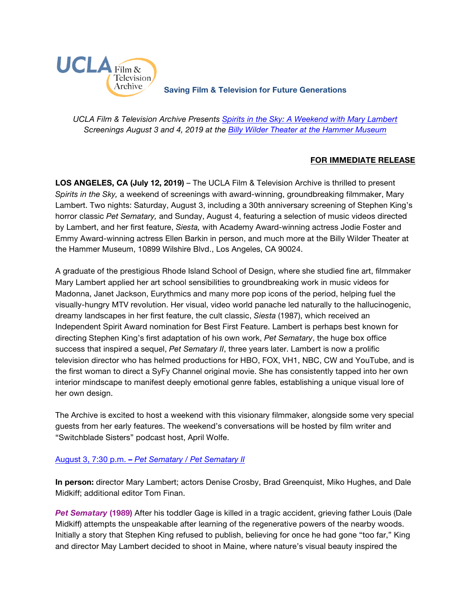

**Saving Film & Television for Future Generations**

*UCLA Film & Television Archive Presents [Spirits in the Sky: A Weekend with Mary Lambert](https://www.cinema.ucla.edu/events/2019/spirits-in-the-sky-mary-lambert) Screenings August 3 and 4, 2019 at the [Billy Wilder Theater at the Hammer Museum](https://www.cinema.ucla.edu/billy-wilder-theater)*

## **FOR IMMEDIATE RELEASE**

**LOS ANGELES, CA (July 12, 2019)** – The UCLA Film & Television Archive is thrilled to present *Spirits in the Sky,* a weekend of screenings with award-winning, groundbreaking filmmaker, Mary Lambert. Two nights: Saturday, August 3, including a 30th anniversary screening of Stephen King's horror classic *Pet Sematary,* and Sunday, August 4, featuring a selection of music videos directed by Lambert, and her first feature, *Siesta,* with Academy Award-winning actress Jodie Foster and Emmy Award-winning actress Ellen Barkin in person, and much more at the Billy Wilder Theater at the Hammer Museum, 10899 Wilshire Blvd., Los Angeles, CA 90024.

A graduate of the prestigious Rhode Island School of Design, where she studied fine art, filmmaker Mary Lambert applied her art school sensibilities to groundbreaking work in music videos for Madonna, Janet Jackson, Eurythmics and many more pop icons of the period, helping fuel the visually-hungry MTV revolution. Her visual, video world panache led naturally to the hallucinogenic, dreamy landscapes in her first feature, the cult classic, *Siesta* (1987), which received an Independent Spirit Award nomination for Best First Feature. Lambert is perhaps best known for directing Stephen King's first adaptation of his own work, *Pet Sematary*, the huge box office success that inspired a sequel, *Pet Sematary II*, three years later. Lambert is now a prolific television director who has helmed productions for HBO, FOX, VH1, NBC, CW and YouTube, and is the first woman to direct a SyFy Channel original movie. She has consistently tapped into her own interior mindscape to manifest deeply emotional genre fables, establishing a unique visual lore of her own design.

The Archive is excited to host a weekend with this visionary filmmaker, alongside some very special guests from her early features. The weekend's conversations will be hosted by film writer and "Switchblade Sisters" podcast host, April Wolfe.

## August 3, 7:30 p.m. **–** *Pet [Sematary / Pet](https://www.cinema.ucla.edu/events/2019/08/03/pet-sematary-I-II) Sematary II*

**In person:** director Mary Lambert; actors Denise Crosby, Brad Greenquist, Miko Hughes, and Dale Midkiff; additional editor Tom Finan.

*Pet Sematary* **(1989)** After his toddler Gage is killed in a tragic accident, grieving father Louis (Dale Midkiff) attempts the unspeakable after learning of the regenerative powers of the nearby woods. Initially a story that Stephen King refused to publish, believing for once he had gone "too far," King and director May Lambert decided to shoot in Maine, where nature's visual beauty inspired the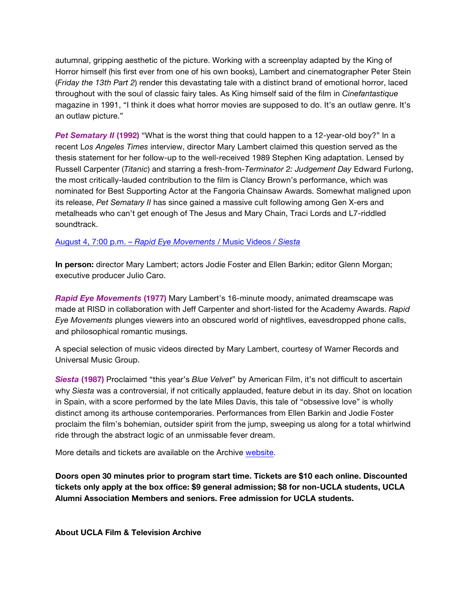autumnal, gripping aesthetic of the picture. Working with a screenplay adapted by the King of Horror himself (his first ever from one of his own books), Lambert and cinematographer Peter Stein (*Friday the 13th Part 2*) render this devastating tale with a distinct brand of emotional horror, laced throughout with the soul of classic fairy tales. As King himself said of the film in *Cinefantastique* magazine in 1991, "I think it does what horror movies are supposed to do. It's an outlaw genre. It's an outlaw picture."

*Pet Sematary II* **(1992)** "What is the worst thing that could happen to a 12-year-old boy?" In a recent L*os Angeles Times* interview, director Mary Lambert claimed this question served as the thesis statement for her follow-up to the well-received 1989 Stephen King adaptation. Lensed by Russell Carpenter (*Titanic*) and starring a fresh-from-*Terminator 2: Judgement Day* Edward Furlong, the most critically-lauded contribution to the film is Clancy Brown's performance, which was nominated for Best Supporting Actor at the Fangoria Chainsaw Awards. Somewhat maligned upon its release, *Pet Sematary II* has since gained a massive cult following among Gen X-ers and metalheads who can't get enough of The Jesus and Mary Chain, Traci Lords and L7-riddled soundtrack.

## August 4, 7:00 p.m. – *[Rapid Eye Movements /](https://www.cinema.ucla.edu/events/2019/08/04/siesta-rapid-eye-movements)* Music Videos / *Siesta*

**In person:** director Mary Lambert; actors Jodie Foster and Ellen Barkin; editor Glenn Morgan; executive producer Julio Caro.

*Rapid Eye Movements* **(1977)** Mary Lambert's 16-minute moody, animated dreamscape was made at RISD in collaboration with Jeff Carpenter and short-listed for the Academy Awards. *Rapid Eye Movements* plunges viewers into an obscured world of nightlives, eavesdropped phone calls, and philosophical romantic musings.

A special selection of music videos directed by Mary Lambert, courtesy of Warner Records and Universal Music Group.

*Siesta* **(1987)** Proclaimed "this year's *Blue Velvet*" by American Film, it's not difficult to ascertain why *Siesta* was a controversial, if not critically applauded, feature debut in its day. Shot on location in Spain, with a score performed by the late Miles Davis, this tale of "obsessive love" is wholly distinct among its arthouse contemporaries. Performances from Ellen Barkin and Jodie Foster proclaim the film's bohemian, outsider spirit from the jump, sweeping us along for a total whirlwind ride through the abstract logic of an unmissable fever dream.

More details and tickets are available on the Archive [website](https://www.cinema.ucla.edu/events/2019/spirits-in-the-sky-mary-lambert).

**Doors open 30 minutes prior to program start time. Tickets are \$10 each online. Discounted tickets only apply at the box office: \$9 general admission; \$8 for non-UCLA students, UCLA Alumni Association Members and seniors. Free admission for UCLA students.**

**About UCLA Film & Television Archive**